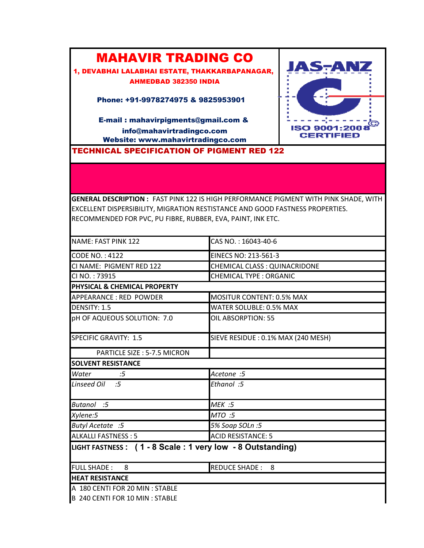## MAHAVIR TRADING CO

1, DEVABHAI LALABHAI ESTATE, THAKKARBAPANAGAR, AHMEDBAD 382350 INDIA

Phone: +91-9978274975 & 9825953901

E-mail : mahavirpigments@gmail.com & info@mahavirtradingco.com Website: www.mahavirtradingco.com

TECHNICAL SPECIFICATION OF PIGMENT RED 122



**GENERAL DESCRIPTION :** FAST PINK 122 IS HIGH PERFORMANCE PIGMENT WITH PINK SHADE, WITH EXCELLENT DISPERSIBILITY, MIGRATION RESTISTANCE AND GOOD FASTNESS PROPERTIES. RECOMMENDED FOR PVC, PU FIBRE, RUBBER, EVA, PAINT, INK ETC.

| NAME: FAST PINK 122                                       | CAS NO.: 16043-40-6                 |
|-----------------------------------------------------------|-------------------------------------|
| <b>CODE NO.: 4122</b>                                     | EINECS NO: 213-561-3                |
| CI NAME: PIGMENT RED 122                                  | CHEMICAL CLASS : QUINACRIDONE       |
| CI NO.: 73915                                             | <b>CHEMICAL TYPE: ORGANIC</b>       |
| PHYSICAL & CHEMICAL PROPERTY                              |                                     |
| APPEARANCE: RED POWDER                                    | <b>MOSITUR CONTENT: 0.5% MAX</b>    |
| DENSITY: 1.5                                              | WATER SOLUBLE: 0.5% MAX             |
| pH OF AQUEOUS SOLUTION: 7.0                               | OIL ABSORPTION: 55                  |
| <b>SPECIFIC GRAVITY: 1.5</b>                              | SIEVE RESIDUE : 0.1% MAX (240 MESH) |
| PARTICLE SIZE: 5-7.5 MICRON                               |                                     |
| <b>SOLVENT RESISTANCE</b>                                 |                                     |
| Water<br>:5                                               | Acetone :5                          |
| Linseed Oil :5                                            | Ethanol :5                          |
| Butanol :5                                                | MEK :5                              |
| Xylene:5                                                  | MTO :5                              |
| Butyl Acetate :5                                          | 5% Soap SOLn: 5                     |
| <b>ALKALLI FASTNESS: 5</b>                                | <b>ACID RESISTANCE: 5</b>           |
| LIGHT FASTNESS: (1 - 8 Scale: 1 very low - 8 Outstanding) |                                     |
| <b>FULL SHADE:</b><br>- 8                                 | <b>REDUCE SHADE: 8</b>              |
| <b>HEAT RESISTANCE</b>                                    |                                     |
| A 180 CENTI FOR 20 MIN : STABLE                           |                                     |
| B 240 CENTI FOR 10 MIN : STABLE                           |                                     |